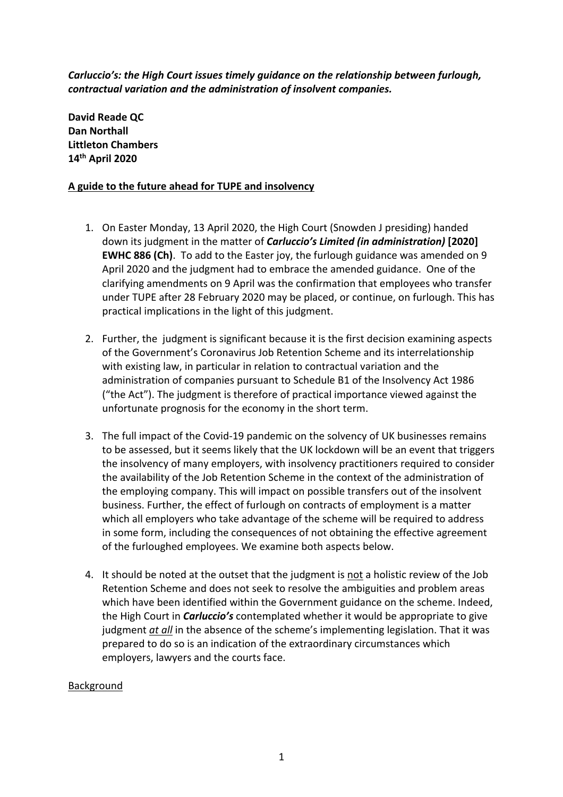*Carluccio's: the High Court issues timely guidance on the relationship between furlough, contractual variation and the administration of insolvent companies.*

**David Reade QC Dan Northall Littleton Chambers 14th April 2020**

## **A guide to the future ahead for TUPE and insolvency**

- 1. On Easter Monday, 13 April 2020, the High Court (Snowden J presiding) handed down its judgment in the matter of *Carluccio's Limited (in administration)* **[2020] EWHC 886 (Ch)**. To add to the Easter joy, the furlough guidance was amended on 9 April 2020 and the judgment had to embrace the amended guidance. One of the clarifying amendments on 9 April was the confirmation that employees who transfer under TUPE after 28 February 2020 may be placed, or continue, on furlough. This has practical implications in the light of this judgment.
- 2. Further, the judgment is significant because it is the first decision examining aspects of the Government's Coronavirus Job Retention Scheme and its interrelationship with existing law, in particular in relation to contractual variation and the administration of companies pursuant to Schedule B1 of the Insolvency Act 1986 ("the Act"). The judgment is therefore of practical importance viewed against the unfortunate prognosis for the economy in the short term.
- 3. The full impact of the Covid-19 pandemic on the solvency of UK businesses remains to be assessed, but it seems likely that the UK lockdown will be an event that triggers the insolvency of many employers, with insolvency practitioners required to consider the availability of the Job Retention Scheme in the context of the administration of the employing company. This will impact on possible transfers out of the insolvent business. Further, the effect of furlough on contracts of employment is a matter which all employers who take advantage of the scheme will be required to address in some form, including the consequences of not obtaining the effective agreement of the furloughed employees. We examine both aspects below.
- 4. It should be noted at the outset that the judgment is not a holistic review of the Job Retention Scheme and does not seek to resolve the ambiguities and problem areas which have been identified within the Government guidance on the scheme. Indeed, the High Court in *Carluccio's* contemplated whether it would be appropriate to give judgment *at all* in the absence of the scheme's implementing legislation. That it was prepared to do so is an indication of the extraordinary circumstances which employers, lawyers and the courts face.

# Background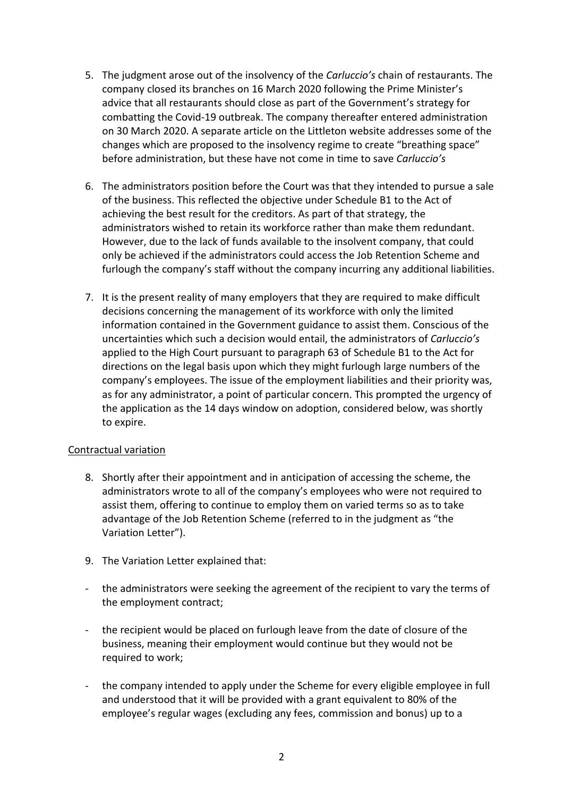- 5. The judgment arose out of the insolvency of the *Carluccio's* chain of restaurants. The company closed its branches on 16 March 2020 following the Prime Minister's advice that all restaurants should close as part of the Government's strategy for combatting the Covid-19 outbreak. The company thereafter entered administration on 30 March 2020. A separate article on the Littleton website addresses some of the changes which are proposed to the insolvency regime to create "breathing space" before administration, but these have not come in time to save *Carluccio's*
- 6. The administrators position before the Court was that they intended to pursue a sale of the business. This reflected the objective under Schedule B1 to the Act of achieving the best result for the creditors. As part of that strategy, the administrators wished to retain its workforce rather than make them redundant. However, due to the lack of funds available to the insolvent company, that could only be achieved if the administrators could access the Job Retention Scheme and furlough the company's staff without the company incurring any additional liabilities.
- 7. It is the present reality of many employers that they are required to make difficult decisions concerning the management of its workforce with only the limited information contained in the Government guidance to assist them. Conscious of the uncertainties which such a decision would entail, the administrators of *Carluccio's* applied to the High Court pursuant to paragraph 63 of Schedule B1 to the Act for directions on the legal basis upon which they might furlough large numbers of the company's employees. The issue of the employment liabilities and their priority was, as for any administrator, a point of particular concern. This prompted the urgency of the application as the 14 days window on adoption, considered below, was shortly to expire.

# Contractual variation

- 8. Shortly after their appointment and in anticipation of accessing the scheme, the administrators wrote to all of the company's employees who were not required to assist them, offering to continue to employ them on varied terms so as to take advantage of the Job Retention Scheme (referred to in the judgment as "the Variation Letter").
- 9. The Variation Letter explained that:
- the administrators were seeking the agreement of the recipient to vary the terms of the employment contract;
- the recipient would be placed on furlough leave from the date of closure of the business, meaning their employment would continue but they would not be required to work;
- the company intended to apply under the Scheme for every eligible employee in full and understood that it will be provided with a grant equivalent to 80% of the employee's regular wages (excluding any fees, commission and bonus) up to a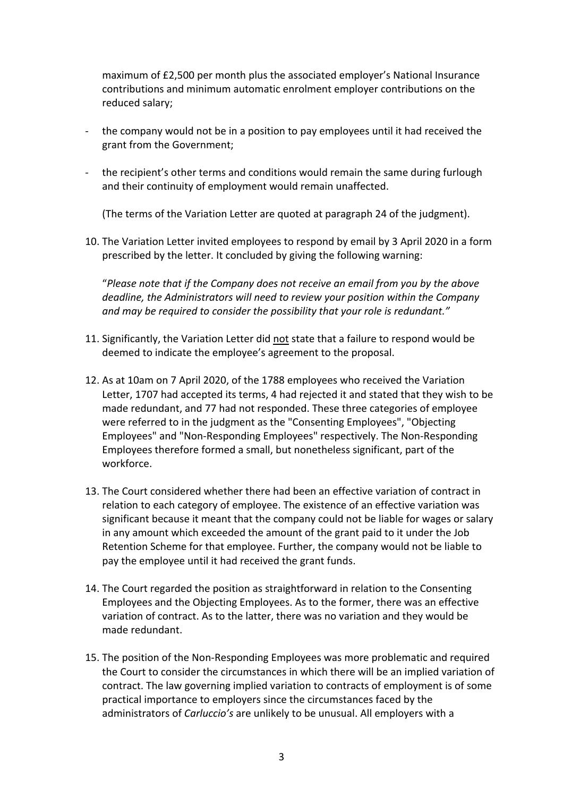maximum of £2,500 per month plus the associated employer's National Insurance contributions and minimum automatic enrolment employer contributions on the reduced salary;

- the company would not be in a position to pay employees until it had received the grant from the Government;
- the recipient's other terms and conditions would remain the same during furlough and their continuity of employment would remain unaffected.

(The terms of the Variation Letter are quoted at paragraph 24 of the judgment).

10. The Variation Letter invited employees to respond by email by 3 April 2020 in a form prescribed by the letter. It concluded by giving the following warning:

"*Please note that if the Company does not receive an email from you by the above deadline, the Administrators will need to review your position within the Company and may be required to consider the possibility that your role is redundant."*

- 11. Significantly, the Variation Letter did not state that a failure to respond would be deemed to indicate the employee's agreement to the proposal.
- 12. As at 10am on 7 April 2020, of the 1788 employees who received the Variation Letter, 1707 had accepted its terms, 4 had rejected it and stated that they wish to be made redundant, and 77 had not responded. These three categories of employee were referred to in the judgment as the "Consenting Employees", "Objecting Employees" and "Non-Responding Employees" respectively. The Non-Responding Employees therefore formed a small, but nonetheless significant, part of the workforce.
- 13. The Court considered whether there had been an effective variation of contract in relation to each category of employee. The existence of an effective variation was significant because it meant that the company could not be liable for wages or salary in any amount which exceeded the amount of the grant paid to it under the Job Retention Scheme for that employee. Further, the company would not be liable to pay the employee until it had received the grant funds.
- 14. The Court regarded the position as straightforward in relation to the Consenting Employees and the Objecting Employees. As to the former, there was an effective variation of contract. As to the latter, there was no variation and they would be made redundant.
- 15. The position of the Non-Responding Employees was more problematic and required the Court to consider the circumstances in which there will be an implied variation of contract. The law governing implied variation to contracts of employment is of some practical importance to employers since the circumstances faced by the administrators of *Carluccio's* are unlikely to be unusual. All employers with a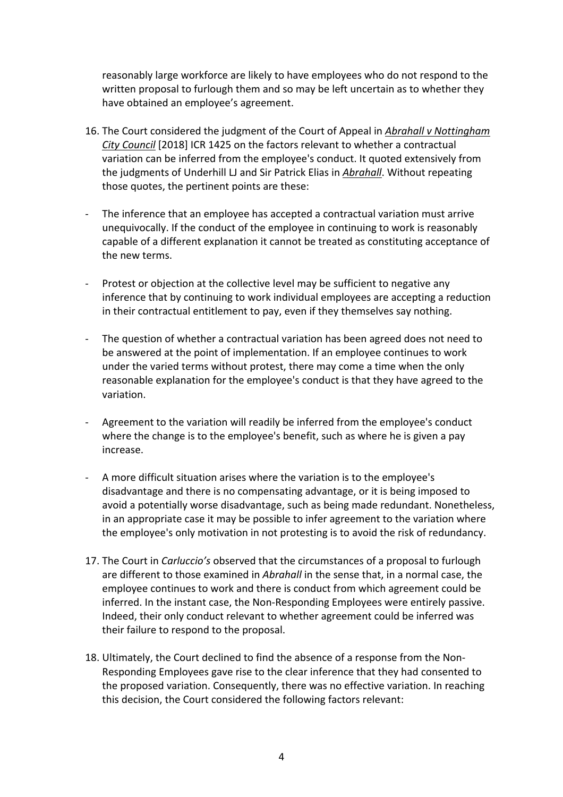reasonably large workforce are likely to have employees who do not respond to the written proposal to furlough them and so may be left uncertain as to whether they have obtained an employee's agreement.

- 16. The Court considered the judgment of the Court of Appeal in *Abrahall v Nottingham City Council* [2018] ICR 1425 on the factors relevant to whether a contractual variation can be inferred from the employee's conduct. It quoted extensively from the judgments of Underhill LJ and Sir Patrick Elias in *Abrahall*. Without repeating those quotes, the pertinent points are these:
- The inference that an employee has accepted a contractual variation must arrive unequivocally. If the conduct of the employee in continuing to work is reasonably capable of a different explanation it cannot be treated as constituting acceptance of the new terms.
- Protest or objection at the collective level may be sufficient to negative any inference that by continuing to work individual employees are accepting a reduction in their contractual entitlement to pay, even if they themselves say nothing.
- The question of whether a contractual variation has been agreed does not need to be answered at the point of implementation. If an employee continues to work under the varied terms without protest, there may come a time when the only reasonable explanation for the employee's conduct is that they have agreed to the variation.
- Agreement to the variation will readily be inferred from the employee's conduct where the change is to the employee's benefit, such as where he is given a pay increase.
- A more difficult situation arises where the variation is to the employee's disadvantage and there is no compensating advantage, or it is being imposed to avoid a potentially worse disadvantage, such as being made redundant. Nonetheless, in an appropriate case it may be possible to infer agreement to the variation where the employee's only motivation in not protesting is to avoid the risk of redundancy.
- 17. The Court in *Carluccio's* observed that the circumstances of a proposal to furlough are different to those examined in *Abrahall* in the sense that, in a normal case, the employee continues to work and there is conduct from which agreement could be inferred. In the instant case, the Non-Responding Employees were entirely passive. Indeed, their only conduct relevant to whether agreement could be inferred was their failure to respond to the proposal.
- 18. Ultimately, the Court declined to find the absence of a response from the Non-Responding Employees gave rise to the clear inference that they had consented to the proposed variation. Consequently, there was no effective variation. In reaching this decision, the Court considered the following factors relevant: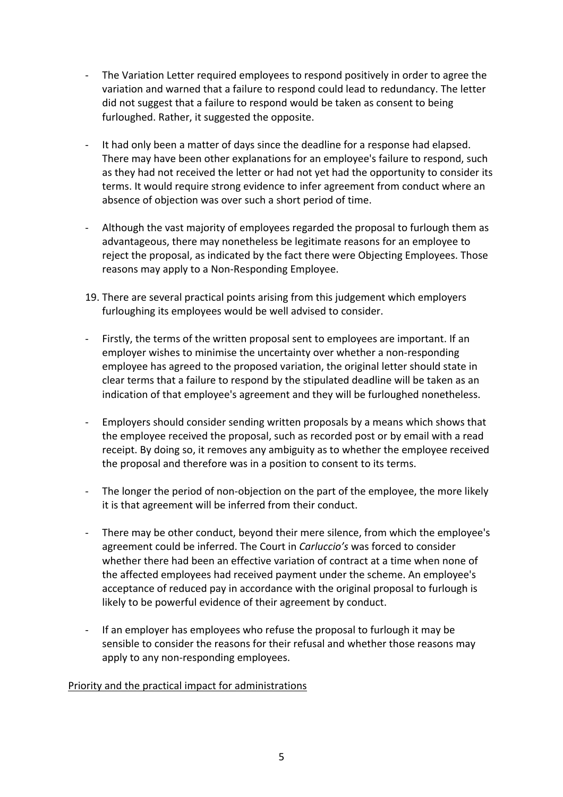- The Variation Letter required employees to respond positively in order to agree the variation and warned that a failure to respond could lead to redundancy. The letter did not suggest that a failure to respond would be taken as consent to being furloughed. Rather, it suggested the opposite.
- It had only been a matter of days since the deadline for a response had elapsed. There may have been other explanations for an employee's failure to respond, such as they had not received the letter or had not yet had the opportunity to consider its terms. It would require strong evidence to infer agreement from conduct where an absence of objection was over such a short period of time.
- Although the vast majority of employees regarded the proposal to furlough them as advantageous, there may nonetheless be legitimate reasons for an employee to reject the proposal, as indicated by the fact there were Objecting Employees. Those reasons may apply to a Non-Responding Employee.
- 19. There are several practical points arising from this judgement which employers furloughing its employees would be well advised to consider.
- Firstly, the terms of the written proposal sent to employees are important. If an employer wishes to minimise the uncertainty over whether a non-responding employee has agreed to the proposed variation, the original letter should state in clear terms that a failure to respond by the stipulated deadline will be taken as an indication of that employee's agreement and they will be furloughed nonetheless.
- Employers should consider sending written proposals by a means which shows that the employee received the proposal, such as recorded post or by email with a read receipt. By doing so, it removes any ambiguity as to whether the employee received the proposal and therefore was in a position to consent to its terms.
- The longer the period of non-objection on the part of the employee, the more likely it is that agreement will be inferred from their conduct.
- There may be other conduct, beyond their mere silence, from which the employee's agreement could be inferred. The Court in *Carluccio's* was forced to consider whether there had been an effective variation of contract at a time when none of the affected employees had received payment under the scheme. An employee's acceptance of reduced pay in accordance with the original proposal to furlough is likely to be powerful evidence of their agreement by conduct.
- If an employer has employees who refuse the proposal to furlough it may be sensible to consider the reasons for their refusal and whether those reasons may apply to any non-responding employees.

### Priority and the practical impact for administrations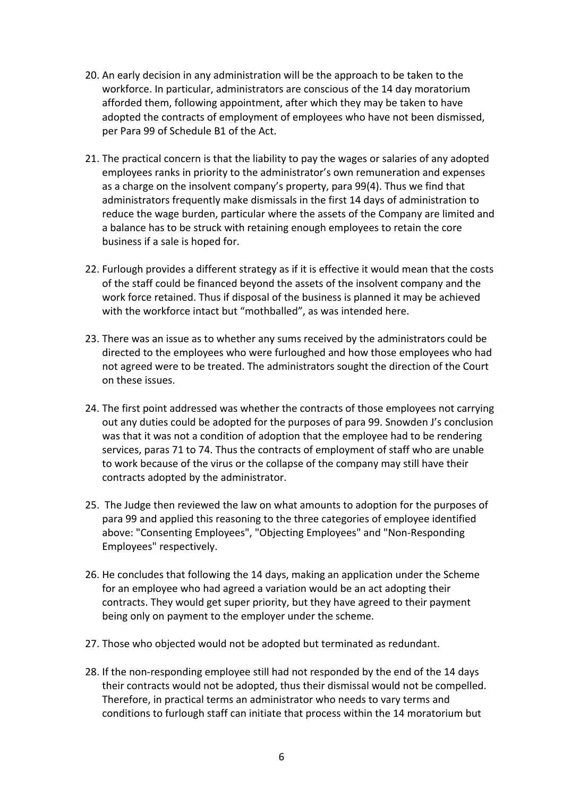- 20. An early decision in any administration will be the approach to be taken to the workforce. In particular, administrators are conscious of the 14 day moratorium afforded them, following appointment, after which they may be taken to have adopted the contracts of employment of employees who have not been dismissed, per Para 99 of Schedule B1 of the Act.
- 21. The practical concern is that the liability to pay the wages or salaries of any adopted employees ranks in priority to the administrator's own remuneration and expenses as a charge on the insolvent company's property, para 99(4). Thus we find that administrators frequently make dismissals in the first 14 days of administration to reduce the wage burden, particular where the assets of the Company are limited and a balance has to be struck with retaining enough employees to retain the core business if a sale is hoped for.
- 22. Furlough provides a different strategy as if it is effective it would mean that the costs of the staff could be financed beyond the assets of the insolvent company and the work force retained. Thus if disposal of the business is planned it may be achieved with the workforce intact but "mothballed", as was intended here.
- 23. There was an issue as to whether any sums received by the administrators could be directed to the employees who were furloughed and how those employees who had not agreed were to be treated. The administrators sought the direction of the Court on these issues.
- 24. The first point addressed was whether the contracts of those employees not carrying out any duties could be adopted for the purposes of para 99. Snowden J's conclusion was that it was not a condition of adoption that the employee had to be rendering services, paras 71 to 74. Thus the contracts of employment of staff who are unable to work because of the virus or the collapse of the company may still have their contracts adopted by the administrator.
- 25. The Judge then reviewed the law on what amounts to adoption for the purposes of para 99 and applied this reasoning to the three categories of employee identified above: "Consenting Employees", "Objecting Employees" and "Non-Responding Employees" respectively.
- 26. He concludes that following the 14 days, making an application under the Scheme for an employee who had agreed a variation would be an act adopting their contracts. They would get super priority, but they have agreed to their payment being only on payment to the employer under the scheme.
- 27. Those who objected would not be adopted but terminated as redundant.
- 28. If the non-responding employee still had not responded by the end of the 14 days their contracts would not be adopted, thus their dismissal would not be compelled. Therefore, in practical terms an administrator who needs to vary terms and conditions to furlough staff can initiate that process within the 14 moratorium but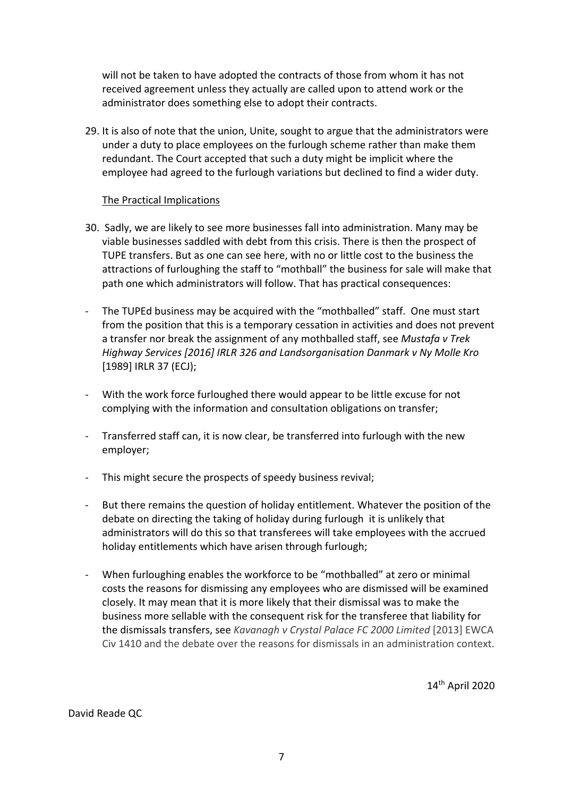will not be taken to have adopted the contracts of those from whom it has not received agreement unless they actually are called upon to attend work or the administrator does something else to adopt their contracts.

29. It is also of note that the union, Unite, sought to argue that the administrators were under a duty to place employees on the furlough scheme rather than make them redundant. The Court accepted that such a duty might be implicit where the employee had agreed to the furlough variations but declined to find a wider duty.

#### The Practical Implications

- 30. Sadly, we are likely to see more businesses fall into administration. Many may be viable businesses saddled with debt from this crisis. There is then the prospect of TUPE transfers. But as one can see here, with no or little cost to the business the attractions of furloughing the staff to "mothball" the business for sale will make that path one which administrators will follow. That has practical consequences:
- The TUPEd business may be acquired with the "mothballed" staff. One must start from the position that this is a temporary cessation in activities and does not prevent a transfer nor break the assignment of any mothballed staff, see *Mustafa v Trek Highway Services [2016] IRLR 326 and Landsorganisation Danmark v Ny Molle Kro* [1989] IRLR 37 (ECJ);
- With the work force furloughed there would appear to be little excuse for not complying with the information and consultation obligations on transfer;
- Transferred staff can, it is now clear, be transferred into furlough with the new employer;
- This might secure the prospects of speedy business revival;
- But there remains the question of holiday entitlement. Whatever the position of the debate on directing the taking of holiday during furlough it is unlikely that administrators will do this so that transferees will take employees with the accrued holiday entitlements which have arisen through furlough;
- When furloughing enables the workforce to be "mothballed" at zero or minimal costs the reasons for dismissing any employees who are dismissed will be examined closely. It may mean that it is more likely that their dismissal was to make the business more sellable with the consequent risk for the transferee that liability for the dismissals transfers, see *Kavanagh v Crystal Palace FC 2000 Limited* [2013] EWCA Civ 1410 and the debate over the reasons for dismissals in an administration context.

14th April 2020

David Reade QC